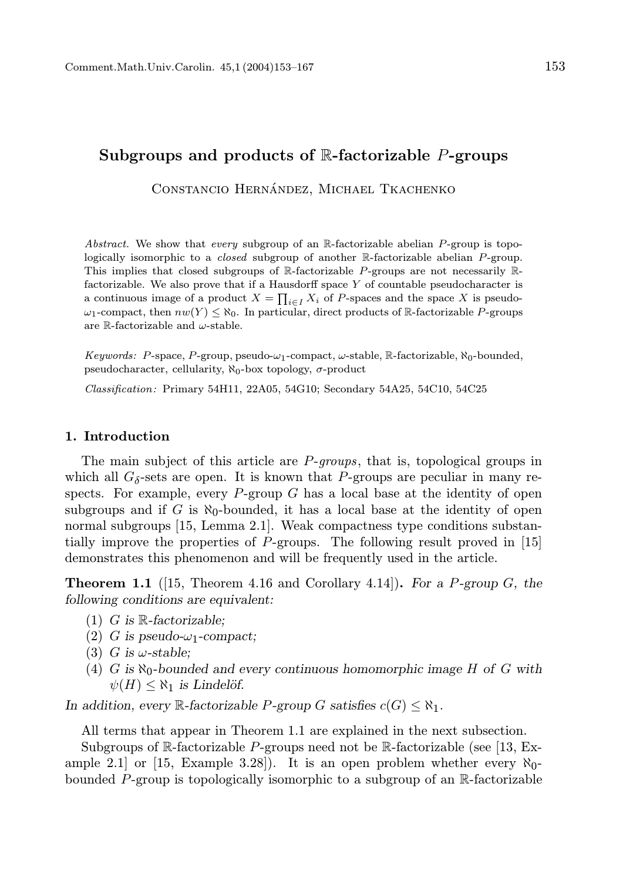# Subgroups and products of  $\mathbb{R}$ -factorizable P-groups

CONSTANCIO HERNÁNDEZ, MICHAEL TKACHENKO

Abstract. We show that every subgroup of an  $\mathbb{R}$ -factorizable abelian P-group is topologically isomorphic to a closed subgroup of another R-factorizable abelian P-group. This implies that closed subgroups of  $\mathbb R$ -factorizable P-groups are not necessarily  $\mathbb R$ factorizable. We also prove that if a Hausdorff space  $Y$  of countable pseudocharacter is a continuous image of a product  $X = \prod_{i \in I} X_i$  of P-spaces and the space X is pseudo- $\omega_1$ -compact, then  $nw(Y) \leq \aleph_0$ . In particular, direct products of R-factorizable P-groups are R-factorizable and  $\omega$ -stable.

Keywords: P-space, P-group, pseudo- $\omega_1$ -compact,  $\omega$ -stable, R-factorizable,  $\aleph_0$ -bounded, pseudocharacter, cellularity,  $\aleph_0$ -box topology,  $\sigma$ -product

Classification: Primary 54H11, 22A05, 54G10; Secondary 54A25, 54C10, 54C25

## 1. Introduction

The main subject of this article are *P*-groups, that is, topological groups in which all  $G_{\delta}$ -sets are open. It is known that P-groups are peculiar in many respects. For example, every  $P$ -group  $G$  has a local base at the identity of open subgroups and if G is  $\aleph_0$ -bounded, it has a local base at the identity of open normal subgroups [15, Lemma 2.1]. Weak compactness type conditions substantially improve the properties of P-groups. The following result proved in [15] demonstrates this phenomenon and will be frequently used in the article.

**Theorem 1.1** ([15, Theorem 4.16 and Corollary 4.14]). For a P-group  $G$ , the following conditions are equivalent:

- (1) G is  $\mathbb R$ -factorizable;
- (2) G is pseudo- $\omega_1$ -compact;
- (3) G is  $\omega$ -stable;
- (4) G is  $\aleph_0$ -bounded and every continuous homomorphic image H of G with  $\psi(H) \leq \aleph_1$  is Lindelöf.

In addition, every  $\mathbb{R}\text{-}factorizable$  P-group G satisfies  $c(G) \leq \aleph_1$ .

All terms that appear in Theorem 1.1 are explained in the next subsection. Subgroups of R-factorizable P-groups need not be R-factorizable (see [13, Example 2.1 or  $[15, \text{Example } 3.28]$ . It is an open problem whether every  $\aleph_0$ bounded P-group is topologically isomorphic to a subgroup of an  $\mathbb{R}$ -factorizable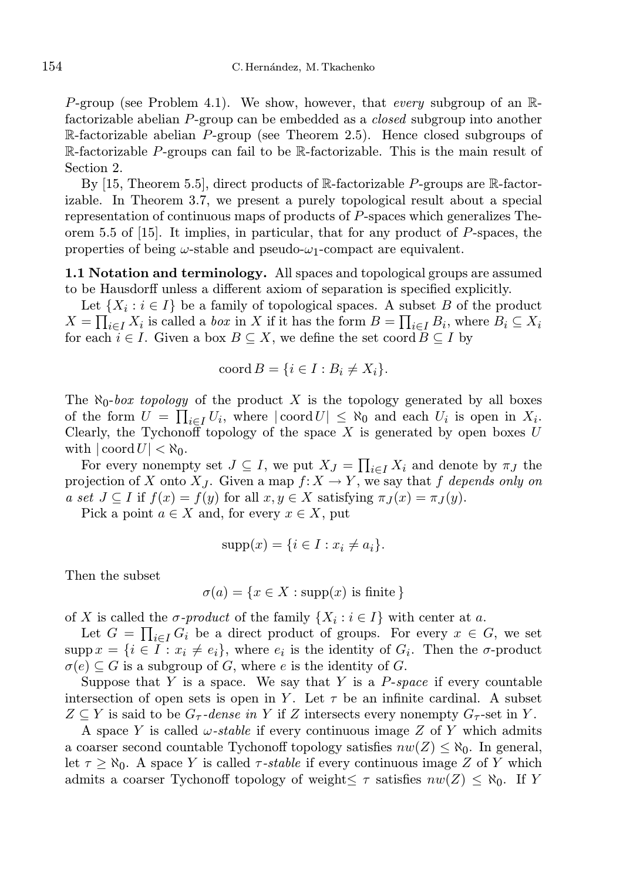P-group (see Problem 4.1). We show, however, that every subgroup of an  $\mathbb{R}$ factorizable abelian P-group can be embedded as a *closed* subgroup into another  $\mathbb{R}$ -factorizable abelian P-group (see Theorem 2.5). Hence closed subgroups of R-factorizable P-groups can fail to be R-factorizable. This is the main result of Section 2.

By [15, Theorem 5.5], direct products of  $\mathbb{R}$ -factorizable P-groups are  $\mathbb{R}$ -factorizable. In Theorem 3.7, we present a purely topological result about a special representation of continuous maps of products of P-spaces which generalizes Theorem 5.5 of [15]. It implies, in particular, that for any product of P-spaces, the properties of being  $\omega$ -stable and pseudo- $\omega_1$ -compact are equivalent.

1.1 Notation and terminology. All spaces and topological groups are assumed to be Hausdorff unless a different axiom of separation is specified explicitly.

Let  $\{X_i : i \in I\}$  be a family of topological spaces. A subset B of the product  $X = \prod_{i \in I} X_i$  is called a *box* in X if it has the form  $B = \prod_{i \in I} B_i$ , where  $B_i \subseteq X_i$ for each  $i \in I$ . Given a box  $B \subseteq X$ , we define the set coord  $B \subseteq I$  by

$$
coord B = \{i \in I : B_i \neq X_i\}.
$$

The  $\aleph_0$ -box topology of the product X is the topology generated by all boxes of the form  $U = \prod_{i \in I} U_i$ , where  $|\text{coord } U| \leq \aleph_0$  and each  $U_i$  is open in  $X_i$ . Clearly, the Tychonoff topology of the space  $X$  is generated by open boxes  $U$ with  $|\operatorname{coord} U| < \aleph_0$ .

For every nonempty set  $J \subseteq I$ , we put  $X_J = \prod_{i \in I} X_i$  and denote by  $\pi_J$  the projection of X onto  $X_J$ . Given a map  $f: X \to Y$ , we say that f depends only on a set  $J \subseteq I$  if  $f(x) = f(y)$  for all  $x, y \in X$  satisfying  $\pi_I(x) = \pi_I(y)$ .

Pick a point  $a \in X$  and, for every  $x \in X$ , put

$$
supp(x) = \{i \in I : x_i \neq a_i\}.
$$

Then the subset

$$
\sigma(a) = \{ x \in X : \text{supp}(x) \text{ is finite } \}
$$

of X is called the  $\sigma$ -product of the family  $\{X_i : i \in I\}$  with center at a.

Let  $G = \prod_{i \in I} G_i$  be a direct product of groups. For every  $x \in G$ , we set  $\text{supp}\,x = \{i \in I : x_i \neq e_i\},\$  where  $e_i$  is the identity of  $G_i$ . Then the  $\sigma$ -product  $\sigma(e) \subseteq G$  is a subgroup of G, where e is the identity of G.

Suppose that Y is a space. We say that Y is a  $P\text{-}space$  if every countable intersection of open sets is open in Y. Let  $\tau$  be an infinite cardinal. A subset  $Z \subseteq Y$  is said to be  $G_{\tau}$ -dense in Y if Z intersects every nonempty  $G_{\tau}$ -set in Y.

A space Y is called  $\omega$ -stable if every continuous image Z of Y which admits a coarser second countable Tychonoff topology satisfies  $nw(Z) \leq \aleph_0$ . In general, let  $\tau \geq \aleph_0$ . A space Y is called  $\tau$ -stable if every continuous image Z of Y which admits a coarser Tychonoff topology of weight $\leq \tau$  satisfies  $nw(Z) \leq \aleph_0$ . If Y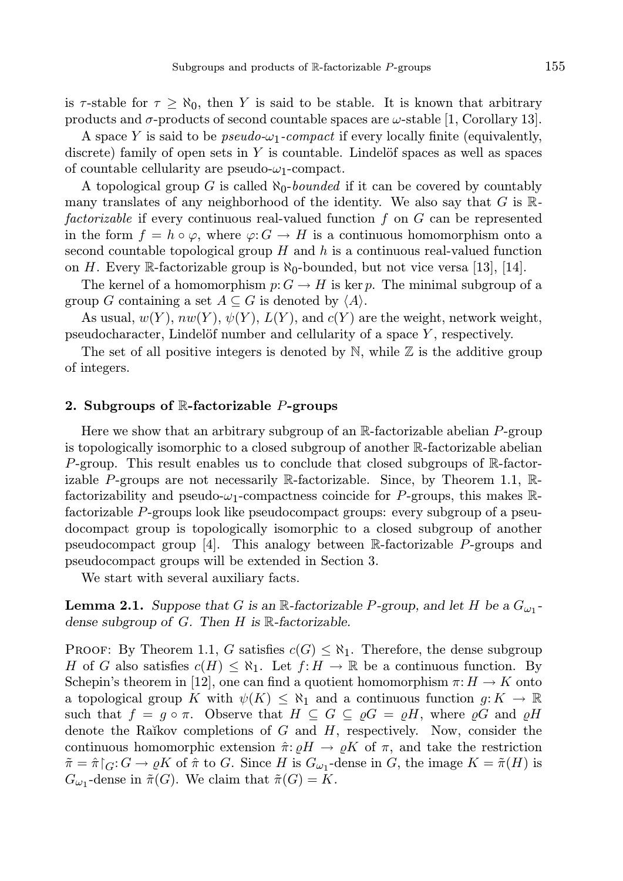is  $\tau$ -stable for  $\tau \geq \aleph_0$ , then Y is said to be stable. It is known that arbitrary products and  $\sigma$ -products of second countable spaces are  $\omega$ -stable [1, Corollary 13].

A space Y is said to be *pseudo-* $\omega_1$ *-compact* if every locally finite (equivalently, discrete) family of open sets in Y is countable. Lindelöf spaces as well as spaces of countable cellularity are pseudo- $\omega_1$ -compact.

A topological group G is called  $\aleph_0$ -bounded if it can be covered by countably many translates of any neighborhood of the identity. We also say that  $G$  is  $\mathbb{R}$ factorizable if every continuous real-valued function f on G can be represented in the form  $f = h \circ \varphi$ , where  $\varphi: G \to H$  is a continuous homomorphism onto a second countable topological group  $H$  and  $h$  is a continuous real-valued function on H. Every R-factorizable group is  $\aleph_0$ -bounded, but not vice versa [13], [14].

The kernel of a homomorphism  $p: G \to H$  is ker p. The minimal subgroup of a group G containing a set  $A \subseteq G$  is denoted by  $\langle A \rangle$ .

As usual,  $w(Y)$ ,  $nw(Y)$ ,  $\psi(Y)$ ,  $L(Y)$ , and  $c(Y)$  are the weight, network weight, pseudocharacter, Lindelöf number and cellularity of a space  $Y$ , respectively.

The set of all positive integers is denoted by  $\mathbb N$ , while  $\mathbb Z$  is the additive group of integers.

### 2. Subgroups of  $\mathbb{R}$ -factorizable *P*-groups

Here we show that an arbitrary subgroup of an  $\mathbb{R}$ -factorizable abelian P-group is topologically isomorphic to a closed subgroup of another R-factorizable abelian P-group. This result enables us to conclude that closed subgroups of  $\mathbb{R}$ -factorizable P-groups are not necessarily  $\mathbb R$ -factorizable. Since, by Theorem 1.1,  $\mathbb R$ factorizability and pseudo- $\omega_1$ -compactness coincide for P-groups, this makes Rfactorizable P-groups look like pseudocompact groups: every subgroup of a pseudocompact group is topologically isomorphic to a closed subgroup of another pseudocompact group [4]. This analogy between R-factorizable P-groups and pseudocompact groups will be extended in Section 3.

We start with several auxiliary facts.

**Lemma 2.1.** Suppose that G is an  $\mathbb{R}$ -factorizable P-group, and let H be a  $G_{\omega_1}$ dense subgroup of  $G$ . Then  $H$  is  $\mathbb R$ -factorizable.

PROOF: By Theorem 1.1, G satisfies  $c(G) \leq \aleph_1$ . Therefore, the dense subgroup H of G also satisfies  $c(H) \leq \aleph_1$ . Let  $f: H \to \mathbb{R}$  be a continuous function. By Schepin's theorem in [12], one can find a quotient homomorphism  $\pi: H \to K$  onto a topological group K with  $\psi(K) \leq \aleph_1$  and a continuous function  $g: K \to \mathbb{R}$ such that  $f = g \circ \pi$ . Observe that  $H \subseteq G \subseteq \rho G = \rho H$ , where  $\rho G$  and  $\rho H$ denote the Raĭkov completions of  $G$  and  $H$ , respectively. Now, consider the continuous homomorphic extension  $\hat{\pi}$ :  $\rho H \to \rho K$  of  $\pi$ , and take the restriction  $\tilde{\pi} = \hat{\pi} \restriction_G : G \to \varrho K$  of  $\hat{\pi}$  to G. Since H is  $G_{\omega_1}$ -dense in G, the image  $K = \tilde{\pi}(H)$  is  $G_{\omega_1}$ -dense in  $\tilde{\pi}(G)$ . We claim that  $\tilde{\pi}(G) = K$ .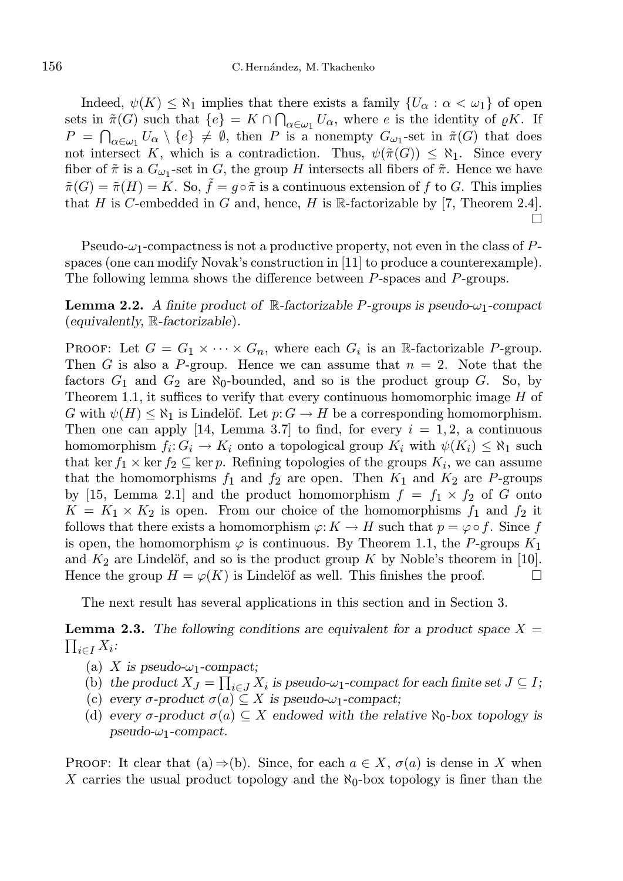Indeed,  $\psi(K) \leq \aleph_1$  implies that there exists a family  $\{U_\alpha : \alpha < \omega_1\}$  of open sets in  $\tilde{\pi}(G)$  such that  $\{e\} = K \cap \bigcap_{\alpha \in \omega_1} U_\alpha$ , where e is the identity of  $\varrho K$ . If  $P = \bigcap_{\alpha \in \omega_1} U_\alpha \setminus \{e\} \neq \emptyset$ , then P is a nonempty  $G_{\omega_1}$ -set in  $\tilde{\pi}(G)$  that does not intersect K, which is a contradiction. Thus,  $\psi(\tilde{\pi}(G)) \leq \aleph_1$ . Since every fiber of  $\tilde{\pi}$  is a  $G_{\omega_1}$ -set in G, the group H intersects all fibers of  $\tilde{\pi}$ . Hence we have  $\tilde{\pi}(G) = \tilde{\pi}(H) = K$ . So,  $\tilde{f} = g \circ \tilde{\pi}$  is a continuous extension of f to G. This implies that H is C-embedded in G and, hence, H is  $\mathbb R$ -factorizable by [7, Theorem 2.4].  $\Box$ 

Pseudo- $\omega_1$ -compactness is not a productive property, not even in the class of Pspaces (one can modify Novak's construction in [11] to produce a counterexample). The following lemma shows the difference between P-spaces and P-groups.

**Lemma 2.2.** A finite product of  $\mathbb{R}$ -factorizable P-groups is pseudo- $\omega_1$ -compact (equivalently, R-factorizable).

PROOF: Let  $G = G_1 \times \cdots \times G_n$ , where each  $G_i$  is an R-factorizable P-group. Then G is also a P-group. Hence we can assume that  $n = 2$ . Note that the factors  $G_1$  and  $G_2$  are  $\aleph_0$ -bounded, and so is the product group G. So, by Theorem 1.1, it suffices to verify that every continuous homomorphic image  $H$  of G with  $\psi(H) \leq \aleph_1$  is Lindelöf. Let  $p: G \to H$  be a corresponding homomorphism. Then one can apply [14, Lemma 3.7] to find, for every  $i = 1, 2$ , a continuous homomorphism  $f_i: G_i \to K_i$  onto a topological group  $K_i$  with  $\psi(K_i) \leq \aleph_1$  such that ker  $f_1 \times \ker f_2 \subseteq \ker p$ . Refining topologies of the groups  $K_i$ , we can assume that the homomorphisms  $f_1$  and  $f_2$  are open. Then  $K_1$  and  $K_2$  are P-groups by [15, Lemma 2.1] and the product homomorphism  $f = f_1 \times f_2$  of G onto  $K = K_1 \times K_2$  is open. From our choice of the homomorphisms  $f_1$  and  $f_2$  it follows that there exists a homomorphism  $\varphi: K \to H$  such that  $p = \varphi \circ f$ . Since f is open, the homomorphism  $\varphi$  is continuous. By Theorem 1.1, the P-groups  $K_1$ and  $K_2$  are Lindelöf, and so is the product group K by Noble's theorem in [10]. Hence the group  $H = \varphi(K)$  is Lindelöf as well. This finishes the proof.

The next result has several applications in this section and in Section 3.

 $\prod_{i\in I}X_i$ : **Lemma 2.3.** The following conditions are equivalent for a product space  $X =$ 

- (a) X is pseudo- $\omega_1$ -compact;
- (b) the product  $X_J = \prod_{i \in J} X_i$  is pseudo- $\omega_1$ -compact for each finite set  $J \subseteq I$ ;
- (c) every  $\sigma$ -product  $\sigma(a) \subseteq X$  is pseudo- $\omega_1$ -compact;
- (d) every  $\sigma$ -product  $\sigma(a) \subseteq X$  endowed with the relative  $\aleph_0$ -box topology is pseudo- $\omega_1$ -compact.

**PROOF:** It clear that (a)  $\Rightarrow$  (b). Since, for each  $a \in X$ ,  $\sigma(a)$  is dense in X when X carries the usual product topology and the  $\aleph_0$ -box topology is finer than the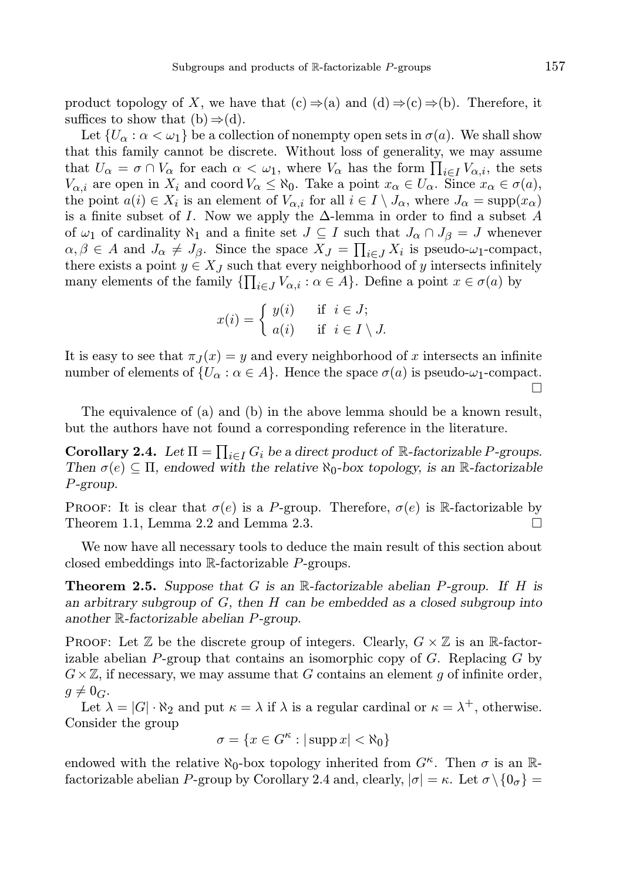product topology of X, we have that  $(c) \Rightarrow (a)$  and  $(d) \Rightarrow (c) \Rightarrow (b)$ . Therefore, it suffices to show that  $(b) \Rightarrow (d)$ .

Let  $\{U_{\alpha} : \alpha < \omega_1\}$  be a collection of nonempty open sets in  $\sigma(a)$ . We shall show that this family cannot be discrete. Without loss of generality, we may assume that  $U_{\alpha} = \sigma \cap V_{\alpha}$  for each  $\alpha < \omega_1$ , where  $V_{\alpha}$  has the form  $\prod_{i \in I} V_{\alpha,i}$ , the sets  $V_{\alpha,i}$  are open in  $X_i$  and coord  $V_\alpha \leq \aleph_0$ . Take a point  $x_\alpha \in U_\alpha$ . Since  $x_\alpha \in \sigma(a)$ , the point  $a(i) \in X_i$  is an element of  $V_{\alpha,i}$  for all  $i \in I \setminus J_\alpha$ , where  $J_\alpha = \text{supp}(x_\alpha)$ is a finite subset of I. Now we apply the  $\Delta$ -lemma in order to find a subset A of  $\omega_1$  of cardinality  $\aleph_1$  and a finite set  $J \subseteq I$  such that  $J_\alpha \cap J_\beta = J$  whenever  $\alpha, \beta \in A$  and  $J_{\alpha} \neq J_{\beta}$ . Since the space  $X_J = \prod_{i \in J} X_i$  is pseudo- $\omega_1$ -compact, there exists a point  $y \in X_J$  such that every neighborhood of y intersects infinitely many elements of the family  $\{\prod_{i\in J}V_{\alpha,i} : \alpha \in A\}$ . Define a point  $x \in \sigma(a)$  by

$$
x(i) = \begin{cases} y(i) & \text{if } i \in J; \\ a(i) & \text{if } i \in I \setminus J. \end{cases}
$$

It is easy to see that  $\pi_J(x) = y$  and every neighborhood of x intersects an infinite number of elements of  $\{U_{\alpha} : \alpha \in A\}$ . Hence the space  $\sigma(a)$  is pseudo- $\omega_1$ -compact. П

The equivalence of (a) and (b) in the above lemma should be a known result, but the authors have not found a corresponding reference in the literature.

**Corollary 2.4.** Let  $\Pi = \prod_{i \in I} G_i$  be a direct product of R-factorizable P-groups. Then  $\sigma(e) \subseteq \Pi$ , endowed with the relative  $\aleph_0$ -box topology, is an R-factorizable P-group.

**PROOF:** It is clear that  $\sigma(e)$  is a P-group. Therefore,  $\sigma(e)$  is R-factorizable by Theorem 1.1, Lemma 2.2 and Lemma 2.3.  $\square$ 

We now have all necessary tools to deduce the main result of this section about closed embeddings into R-factorizable P-groups.

**Theorem 2.5.** Suppose that G is an R-factorizable abelian P-group. If H is an arbitrary subgroup of  $G$ , then  $H$  can be embedded as a closed subgroup into another R-factorizable abelian P-group.

**PROOF:** Let  $\mathbb Z$  be the discrete group of integers. Clearly,  $G \times \mathbb Z$  is an R-factorizable abelian  $P$ -group that contains an isomorphic copy of  $G$ . Replacing  $G$  by  $G\times\mathbb{Z}$ , if necessary, we may assume that G contains an element g of infinite order,  $g \neq 0_G$ .

Let  $\lambda = |G| \cdot \aleph_2$  and put  $\kappa = \lambda$  if  $\lambda$  is a regular cardinal or  $\kappa = \lambda^+$ , otherwise. Consider the group

$$
\sigma = \{ x \in G^{\kappa} : |\operatorname{supp} x| < \aleph_0 \}
$$

endowed with the relative  $\aleph_0$ -box topology inherited from  $G^{\kappa}$ . Then  $\sigma$  is an Rfactorizable abelian P-group by Corollary 2.4 and, clearly,  $|\sigma| = \kappa$ . Let  $\sigma \setminus \{0_{\sigma}\} =$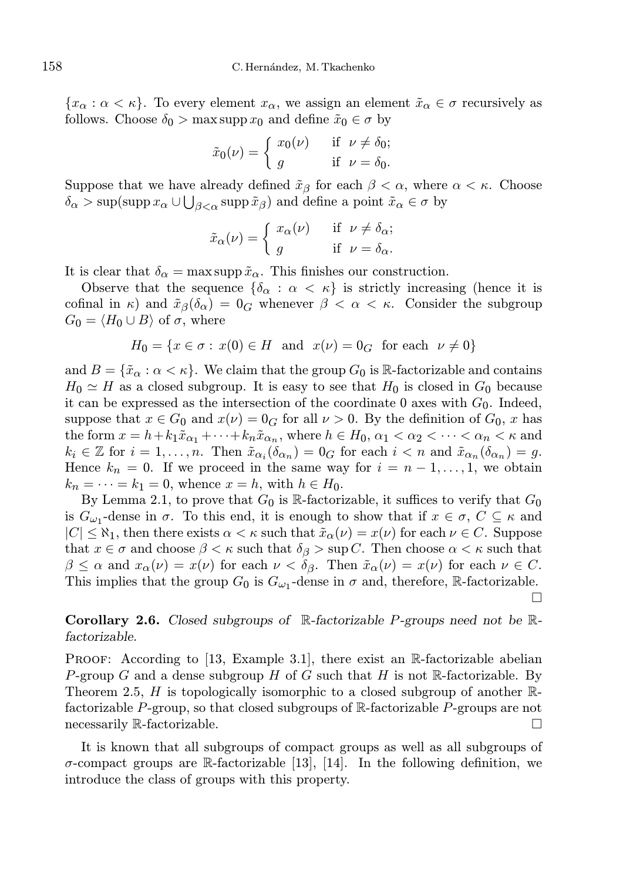${x_\alpha : \alpha < \kappa}$ . To every element  ${x_\alpha}$ , we assign an element  $\tilde{x}_\alpha \in \sigma$  recursively as follows. Choose  $\delta_0 > \max \operatorname{supp} x_0$  and define  $\tilde{x}_0 \in \sigma$  by

$$
\tilde{x}_0(\nu) = \begin{cases} x_0(\nu) & \text{if } \nu \neq \delta_0; \\ g & \text{if } \nu = \delta_0. \end{cases}
$$

Suppose that we have already defined  $\tilde{x}_{\beta}$  for each  $\beta < \alpha$ , where  $\alpha < \kappa$ . Choose  $\delta_{\alpha}$  > sup(supp  $x_{\alpha} \cup \bigcup_{\beta < \alpha}$  supp  $\tilde{x}_{\beta}$ ) and define a point  $\tilde{x}_{\alpha} \in \sigma$  by

$$
\tilde{x}_{\alpha}(\nu) = \begin{cases} x_{\alpha}(\nu) & \text{if } \nu \neq \delta_{\alpha}; \\ g & \text{if } \nu = \delta_{\alpha}. \end{cases}
$$

It is clear that  $\delta_{\alpha} = \max \sup p \tilde{x}_{\alpha}$ . This finishes our construction.

Observe that the sequence  $\{\delta_{\alpha} : \alpha < \kappa\}$  is strictly increasing (hence it is cofinal in  $\kappa$ ) and  $\tilde{x}_{\beta}(\delta_{\alpha}) = 0_G$  whenever  $\beta < \alpha < \kappa$ . Consider the subgroup  $G_0 = \langle H_0 \cup B \rangle$  of  $\sigma$ , where

$$
H_0 = \{ x \in \sigma : x(0) \in H \text{ and } x(\nu) = 0_G \text{ for each } \nu \neq 0 \}
$$

and  $B = \{\tilde{x}_{\alpha} : \alpha < \kappa\}$ . We claim that the group  $G_0$  is R-factorizable and contains  $H_0 \simeq H$  as a closed subgroup. It is easy to see that  $H_0$  is closed in  $G_0$  because it can be expressed as the intersection of the coordinate 0 axes with  $G_0$ . Indeed, suppose that  $x \in G_0$  and  $x(\nu) = 0_G$  for all  $\nu > 0$ . By the definition of  $G_0$ , x has the form  $x = h + k_1 \tilde{x}_{\alpha_1} + \cdots + k_n \tilde{x}_{\alpha_n}$ , where  $h \in H_0$ ,  $\alpha_1 < \alpha_2 < \cdots < \alpha_n < \kappa$  and  $k_i \in \mathbb{Z}$  for  $i = 1, ..., n$ . Then  $\tilde{x}_{\alpha_i}(\delta_{\alpha_n}) = 0_G$  for each  $i < n$  and  $\tilde{x}_{\alpha_n}(\delta_{\alpha_n}) = g$ . Hence  $k_n = 0$ . If we proceed in the same way for  $i = n - 1, \ldots, 1$ , we obtain  $k_n = \cdots = k_1 = 0$ , whence  $x = h$ , with  $h \in H_0$ .

By Lemma 2.1, to prove that  $G_0$  is R-factorizable, it suffices to verify that  $G_0$ is  $G_{\omega_1}$ -dense in  $\sigma$ . To this end, it is enough to show that if  $x \in \sigma$ ,  $C \subseteq \kappa$  and  $|C| \leq \aleph_1$ , then there exists  $\alpha < \kappa$  such that  $\tilde{x}_\alpha(\nu) = x(\nu)$  for each  $\nu \in C$ . Suppose that  $x \in \sigma$  and choose  $\beta < \kappa$  such that  $\delta_{\beta} > \sup C$ . Then choose  $\alpha < \kappa$  such that  $\beta \leq \alpha$  and  $x_{\alpha}(\nu) = x(\nu)$  for each  $\nu < \delta_{\beta}$ . Then  $\tilde{x}_{\alpha}(\nu) = x(\nu)$  for each  $\nu \in C$ . This implies that the group  $G_0$  is  $G_{\omega_1}$ -dense in  $\sigma$  and, therefore, R-factorizable.  $\Box$ 

**Corollary 2.6.** Closed subgroups of  $\mathbb{R}$ -factorizable P-groups need not be  $\mathbb{R}$ factorizable.

**PROOF:** According to [13, Example 3.1], there exist an  $\mathbb{R}$ -factorizable abelian P-group G and a dense subgroup H of G such that H is not  $\mathbb R$ -factorizable. By Theorem 2.5, H is topologically isomorphic to a closed subgroup of another  $\mathbb{R}$ factorizable P-group, so that closed subgroups of  $\mathbb{R}$ -factorizable P-groups are not necessarily R-factorizable.

It is known that all subgroups of compact groups as well as all subgroups of  $\sigma$ -compact groups are R-factorizable [13], [14]. In the following definition, we introduce the class of groups with this property.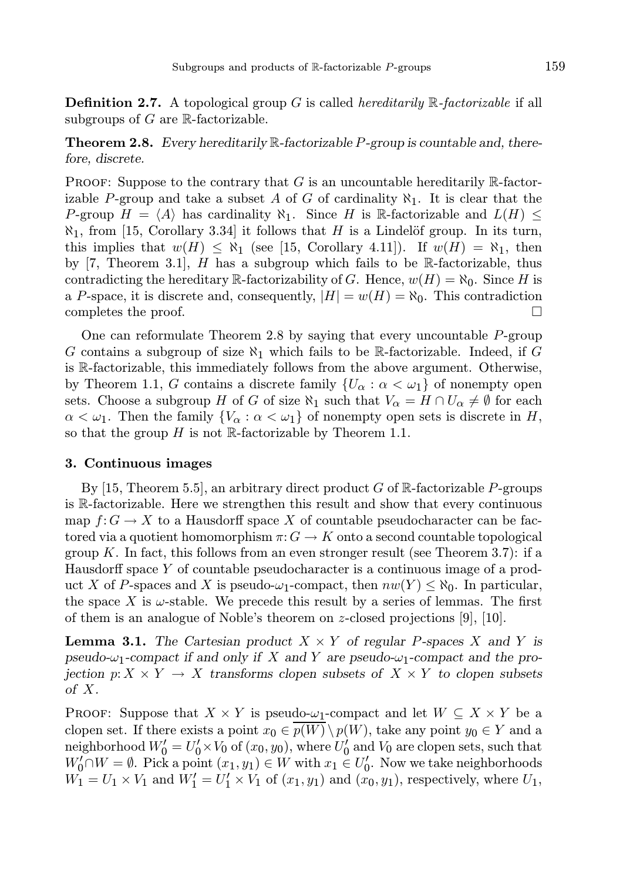**Definition 2.7.** A topological group G is called *hereditarily*  $\mathbb{R}$ -factorizable if all subgroups of  $G$  are  $\mathbb R$ -factorizable.

**Theorem 2.8.** Every hereditarily  $\mathbb{R}$ -factorizable P-group is countable and, therefore, discrete.

PROOF: Suppose to the contrary that  $G$  is an uncountable hereditarily  $\mathbb{R}$ -factorizable P-group and take a subset A of G of cardinality  $\aleph_1$ . It is clear that the P-group  $H = \langle A \rangle$  has cardinality  $\aleph_1$ . Since H is R-factorizable and  $L(H) \leq$  $\aleph_1$ , from [15, Corollary 3.34] it follows that H is a Lindelöf group. In its turn, this implies that  $w(H) \leq \aleph_1$  (see [15, Corollary 4.11]). If  $w(H) = \aleph_1$ , then by [7, Theorem 3.1], H has a subgroup which fails to be R-factorizable, thus contradicting the hereditary R-factorizability of G. Hence,  $w(H) = \aleph_0$ . Since H is a P-space, it is discrete and, consequently,  $|H| = w(H) = \aleph_0$ . This contradiction completes the proof.  $\Box$ 

One can reformulate Theorem 2.8 by saying that every uncountable  $P$ -group G contains a subgroup of size  $\aleph_1$  which fails to be R-factorizable. Indeed, if G is R-factorizable, this immediately follows from the above argument. Otherwise, by Theorem 1.1, G contains a discrete family  $\{U_{\alpha} : \alpha < \omega_1\}$  of nonempty open sets. Choose a subgroup H of G of size  $\aleph_1$  such that  $V_\alpha = H \cap U_\alpha \neq \emptyset$  for each  $\alpha < \omega_1$ . Then the family  $\{V_\alpha : \alpha < \omega_1\}$  of nonempty open sets is discrete in H, so that the group  $H$  is not R-factorizable by Theorem 1.1.

#### 3. Continuous images

By [15, Theorem 5.5], an arbitrary direct product  $G$  of  $\mathbb{R}$ -factorizable P-groups is R-factorizable. Here we strengthen this result and show that every continuous map  $f: G \to X$  to a Hausdorff space X of countable pseudocharacter can be factored via a quotient homomorphism  $\pi: G \to K$  onto a second countable topological group K. In fact, this follows from an even stronger result (see Theorem 3.7): if a Hausdorff space Y of countable pseudocharacter is a continuous image of a product X of P-spaces and X is pseudo- $\omega_1$ -compact, then  $nw(Y) \leq \aleph_0$ . In particular, the space X is  $\omega$ -stable. We precede this result by a series of lemmas. The first of them is an analogue of Noble's theorem on z-closed projections [9], [10].

**Lemma 3.1.** The Cartesian product  $X \times Y$  of regular P-spaces X and Y is pseudo- $\omega_1$ -compact if and only if X and Y are pseudo- $\omega_1$ -compact and the projection  $p: X \times Y \to X$  transforms clopen subsets of  $X \times Y$  to clopen subsets of X.

**PROOF:** Suppose that  $X \times Y$  is pseudo- $\omega_1$ -compact and let  $W \subseteq X \times Y$  be a clopen set. If there exists a point  $x_0 \in \overline{p(W)} \setminus p(W)$ , take any point  $y_0 \in Y$  and a neighborhood  $W'_0 = U'_0 \times V_0$  of  $(x_0, y_0)$ , where  $U'_0$  and  $V_0$  are clopen sets, such that  $W'_0 \cap W = \emptyset$ . Pick a point  $(x_1, y_1) \in W$  with  $x_1 \in U'_0$ . Now we take neighborhoods  $W_1 = U_1 \times V_1$  and  $W_1' = U_1' \times V_1$  of  $(x_1, y_1)$  and  $(x_0, y_1)$ , respectively, where  $U_1$ ,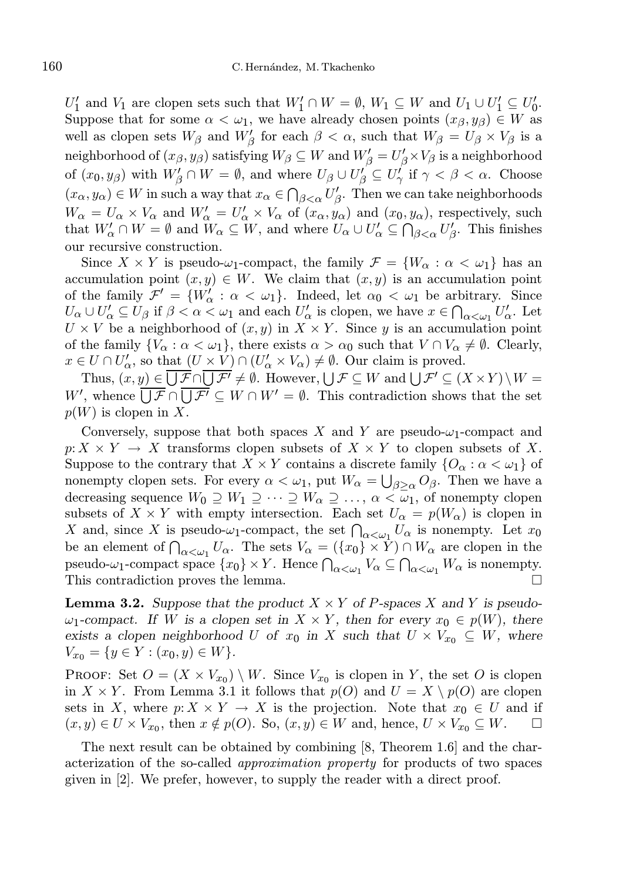$U'_1$  and  $V_1$  are clopen sets such that  $W'_1 \cap W = \emptyset$ ,  $W_1 \subseteq W$  and  $U_1 \cup U'_1 \subseteq U'_0$ . Suppose that for some  $\alpha < \omega_1$ , we have already chosen points  $(x_\beta, y_\beta) \in W$  as well as clopen sets  $W_{\beta}$  and  $W'_{\beta}$  for each  $\beta < \alpha$ , such that  $W_{\beta} = U_{\beta} \times V_{\beta}$  is a neighborhood of  $(x_\beta, y_\beta)$  satisfying  $W_\beta\subseteq W$  and  $W'_\beta=U'_\beta\times V_\beta$  is a neighborhood of  $(x_0, y_\beta)$  with  $W'_\beta \cap W = \emptyset$ , and where  $U_\beta \cup U'_\beta \subseteq U'_\gamma$  if  $\gamma < \beta < \alpha$ . Choose  $(x_{\alpha}, y_{\alpha}) \in W$  in such a way that  $x_{\alpha} \in \bigcap_{\beta < \alpha} U_{\beta}'$ . Then we can take neighborhoods  $W_{\alpha} = U_{\alpha} \times V_{\alpha}$  and  $W'_{\alpha} = U'_{\alpha} \times V_{\alpha}$  of  $(x_{\alpha}, y_{\alpha})$  and  $(x_0, y_{\alpha})$ , respectively, such that  $W'_\alpha \cap W = \emptyset$  and  $W_\alpha \subseteq W$ , and where  $U_\alpha \cup U'_\alpha \subseteq \bigcap_{\beta < \alpha} U'_\beta$ . This finishes our recursive construction.

Since  $X \times Y$  is pseudo- $\omega_1$ -compact, the family  $\mathcal{F} = \{W_\alpha : \alpha < \omega_1\}$  has an accumulation point  $(x, y) \in W$ . We claim that  $(x, y)$  is an accumulation point of the family  $\mathcal{F}' = \{W'_\alpha : \alpha < \omega_1\}$ . Indeed, let  $\alpha_0 < \omega_1$  be arbitrary. Since  $U_{\alpha} \cup U'_{\alpha} \subseteq U_{\beta}$  if  $\beta < \alpha < \omega_1$  and each  $U'_{\alpha}$  is clopen, we have  $x \in \bigcap_{\alpha < \omega_1} U'_{\alpha}$ . Let  $U \times V$  be a neighborhood of  $(x, y)$  in  $X \times Y$ . Since y is an accumulation point of the family  $\{V_{\alpha} : \alpha < \omega_1\}$ , there exists  $\alpha > \alpha_0$  such that  $V \cap V_{\alpha} \neq \emptyset$ . Clearly,  $x \in U \cap U'_{\alpha}$ , so that  $(U \times V) \cap (U'_{\alpha} \times V_{\alpha}) \neq \emptyset$ . Our claim is proved.

Thus,  $(x, y) \in \overline{\bigcup \mathcal{F}} \cap \overline{\bigcup \mathcal{F}'} \neq \emptyset$ . However,  $\bigcup \mathcal{F} \subseteq W$  and  $\bigcup \mathcal{F}' \subseteq (X \times Y) \setminus W =$ W', whence  $\overline{\bigcup \mathcal{F}} \cap \overline{\bigcup \mathcal{F}'} \subseteq W \cap W' = \emptyset$ . This contradiction shows that the set  $p(W)$  is clopen in X.

Conversely, suppose that both spaces X and Y are pseudo- $\omega_1$ -compact and  $p: X \times Y \to X$  transforms clopen subsets of  $X \times Y$  to clopen subsets of X. Suppose to the contrary that  $X \times Y$  contains a discrete family  $\{O_{\alpha} : \alpha < \omega_1\}$  of nonempty clopen sets. For every  $\alpha < \omega_1$ , put  $W_{\alpha} = \bigcup_{\beta \geq \alpha} O_{\beta}$ . Then we have a decreasing sequence  $W_0 \supseteq W_1 \supseteq \cdots \supseteq W_\alpha \supseteq \ldots$ ,  $\alpha < \omega_1$ , of nonempty clopen subsets of  $X \times Y$  with empty intersection. Each set  $U_{\alpha} = p(W_{\alpha})$  is clopen in X and, since X is pseudo- $\omega_1$ -compact, the set  $\bigcap_{\alpha<\omega_1}U_\alpha$  is nonempty. Let  $x_0$ be an element of  $\bigcap_{\alpha<\omega_1}U_\alpha$ . The sets  $V_\alpha=(\{x_0\}\times Y)\cap W_\alpha$  are clopen in the pseudo- $\omega_1$ -compact space  $\{x_0\} \times Y$ . Hence  $\bigcap_{\alpha < \omega_1} V_\alpha \subseteq \bigcap_{\alpha < \omega_1} W_\alpha$  is nonempty. This contradiction proves the lemma.

**Lemma 3.2.** Suppose that the product  $X \times Y$  of P-spaces X and Y is pseudo- $\omega_1$ -compact. If W is a clopen set in  $X \times Y$ , then for every  $x_0 \in p(W)$ , there exists a clopen neighborhood U of  $x_0$  in X such that  $U \times V_{x_0} \subseteq W$ , where  $V_{x_0} = \{y \in Y : (x_0, y) \in W\}.$ 

**PROOF:** Set  $O = (X \times V_{x_0}) \setminus W$ . Since  $V_{x_0}$  is clopen in Y, the set O is clopen in  $X \times Y$ . From Lemma 3.1 it follows that  $p(O)$  and  $U = X \setminus p(O)$  are clopen sets in X, where  $p: X \times Y \to X$  is the projection. Note that  $x_0 \in U$  and if  $(x, y) \in U \times V_{x_0}$ , then  $x \notin p(O)$ . So,  $(x, y) \in W$  and, hence,  $U \times V_{x_0} \subseteq W$ .  $\Box$ 

The next result can be obtained by combining [8, Theorem 1.6] and the characterization of the so-called approximation property for products of two spaces given in [2]. We prefer, however, to supply the reader with a direct proof.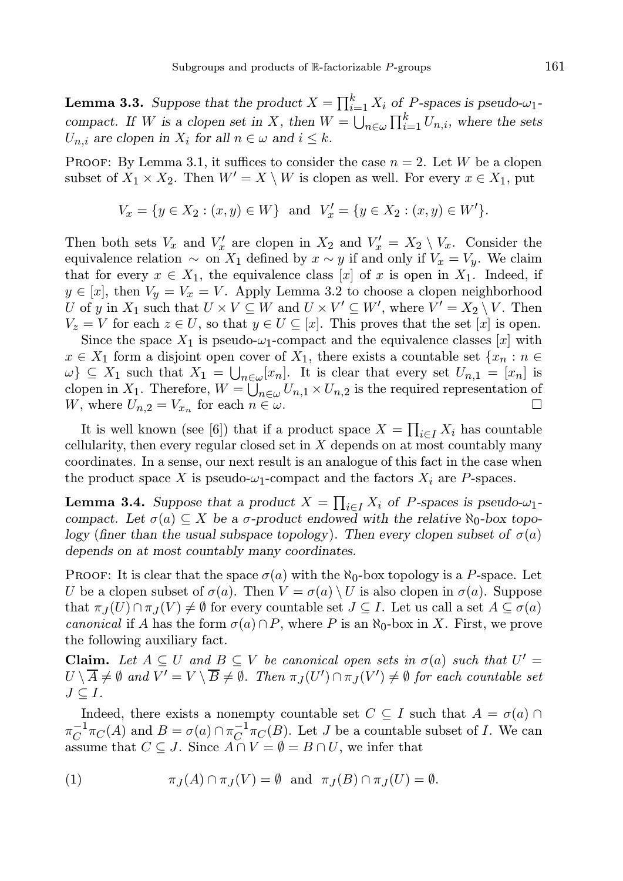**Lemma 3.3.** Suppose that the product  $X = \prod_{i=1}^{k} X_i$  of P-spaces is pseudo- $\omega_1$ compact. If W is a clopen set in X, then  $W = \bigcup_{n \in \omega} \prod_{i=1}^{k} U_{n,i}$ , where the sets  $U_{n,i}$  are clopen in  $X_i$  for all  $n \in \omega$  and  $i \leq k$ .

PROOF: By Lemma 3.1, it suffices to consider the case  $n = 2$ . Let W be a clopen subset of  $X_1 \times X_2$ . Then  $W' = X \setminus W$  is clopen as well. For every  $x \in X_1$ , put

$$
V_x = \{ y \in X_2 : (x, y) \in W \} \text{ and } V'_x = \{ y \in X_2 : (x, y) \in W' \}.
$$

Then both sets  $V_x$  and  $V'_x$  are clopen in  $X_2$  and  $V'_x = X_2 \setminus V_x$ . Consider the equivalence relation  $\sim$  on  $X_1$  defined by  $x \sim y$  if and only if  $V_x = V_y$ . We claim that for every  $x \in X_1$ , the equivalence class [x] of x is open in  $X_1$ . Indeed, if  $y \in [x]$ , then  $V_y = V_x = V$ . Apply Lemma 3.2 to choose a clopen neighborhood U of y in  $X_1$  such that  $U \times V \subseteq W$  and  $U \times V' \subseteq W'$ , where  $V' = X_2 \setminus V$ . Then  $V_z = V$  for each  $z \in U$ , so that  $y \in U \subseteq [x]$ . This proves that the set  $[x]$  is open.

Since the space  $X_1$  is pseudo- $\omega_1$ -compact and the equivalence classes  $[x]$  with  $x \in X_1$  form a disjoint open cover of  $X_1$ , there exists a countable set  $\{x_n : n \in$  $\{\omega\} \subseteq X_1$  such that  $X_1 = \bigcup_{n \in \omega} [x_n]$ . It is clear that every set  $U_{n,1} = [x_n]$  is clopen in  $X_1$ . Therefore,  $W = \bigcup_{n \in \omega} U_{n,1} \times U_{n,2}$  is the required representation of W, where  $U_{n,2} = V_{x_n}$  for each  $n \in \omega$ .

It is well known (see [6]) that if a product space  $X = \prod_{i \in I} X_i$  has countable cellularity, then every regular closed set in  $X$  depends on at most countably many coordinates. In a sense, our next result is an analogue of this fact in the case when the product space X is pseudo- $\omega_1$ -compact and the factors  $X_i$  are P-spaces.

**Lemma 3.4.** Suppose that a product  $X = \prod_{i \in I} X_i$  of *P*-spaces is pseudo- $\omega_1$ compact. Let  $\sigma(a) \subseteq X$  be a  $\sigma$ -product endowed with the relative  $\aleph_0$ -box topology (finer than the usual subspace topology). Then every clopen subset of  $\sigma(a)$ depends on at most countably many coordinates.

PROOF: It is clear that the space  $\sigma(a)$  with the  $\aleph_0$ -box topology is a P-space. Let U be a clopen subset of  $\sigma(a)$ . Then  $V = \sigma(a) \setminus U$  is also clopen in  $\sigma(a)$ . Suppose that  $\pi_J(U)\cap \pi_J(V)\neq \emptyset$  for every countable set  $J\subseteq I$ . Let us call a set  $A\subseteq \sigma(a)$ canonical if A has the form  $\sigma(a) \cap P$ , where P is an  $\aleph_0$ -box in X. First, we prove the following auxiliary fact.

**Claim.** Let  $A \subseteq U$  and  $B \subseteq V$  be canonical open sets in  $\sigma(a)$  such that  $U' =$  $U\setminus\overline{A}\neq\emptyset$  and  $V'=V\setminus\overline{B}\neq\emptyset$ . Then  $\pi_J(U')\cap\pi_J(V')\neq\emptyset$  for each countable set  $J \subseteq I$ .

Indeed, there exists a nonempty countable set  $C \subseteq I$  such that  $A = \sigma(a) \cap I$  $\pi_C^{-1}\pi_C(A)$  and  $B = \sigma(a) \cap \pi_C^{-1}\pi_C(B)$ . Let J be a countable subset of I. We can assume that  $C \subseteq J$ . Since  $A \cap V = \emptyset = B \cap U$ , we infer that

(1) 
$$
\pi_J(A) \cap \pi_J(V) = \emptyset
$$
 and  $\pi_J(B) \cap \pi_J(U) = \emptyset$ .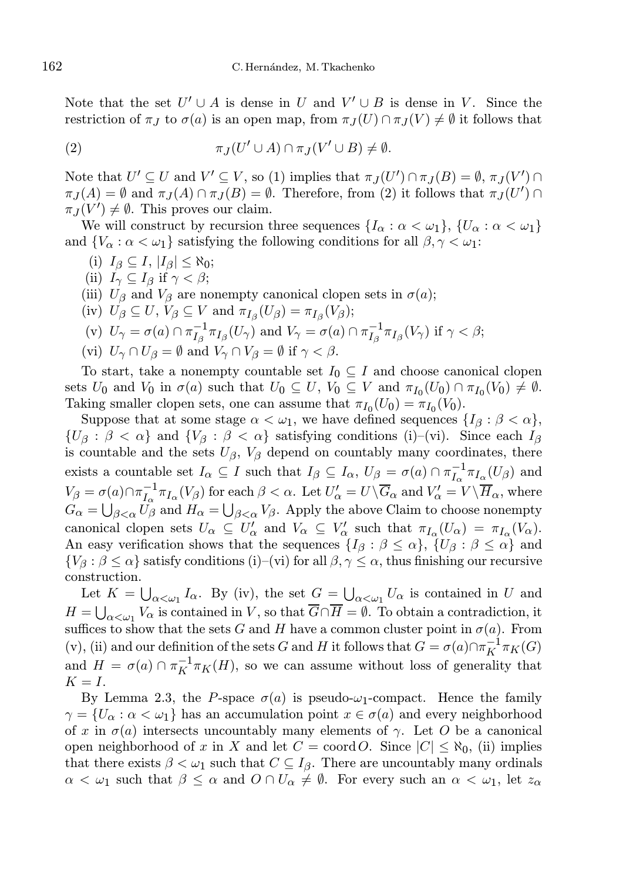Note that the set  $U' \cup A$  is dense in U and  $V' \cup B$  is dense in V. Since the restriction of  $\pi_J$  to  $\sigma(a)$  is an open map, from  $\pi_J(U) \cap \pi_J(V) \neq \emptyset$  it follows that

(2) 
$$
\pi_J(U' \cup A) \cap \pi_J(V' \cup B) \neq \emptyset.
$$

Note that  $U' \subseteq U$  and  $V' \subseteq V$ , so (1) implies that  $\pi_J(U') \cap \pi_J(B) = \emptyset$ ,  $\pi_J(V') \cap$  $\pi_J(A) = \emptyset$  and  $\pi_J(A) \cap \pi_J(B) = \emptyset$ . Therefore, from (2) it follows that  $\pi_J(U') \cap$  $\pi_J(V') \neq \emptyset$ . This proves our claim.

We will construct by recursion three sequences  $\{I_\alpha : \alpha < \omega_1\}, \{U_\alpha : \alpha < \omega_1\}$ and  $\{V_{\alpha} : \alpha < \omega_1\}$  satisfying the following conditions for all  $\beta, \gamma < \omega_1$ :

- (i)  $I_{\beta} \subseteq I$ ,  $|I_{\beta}| \leq \aleph_0$ ;
- (ii)  $I_{\gamma} \subseteq I_{\beta}$  if  $\gamma < \beta$ ;
- (iii)  $U_{\beta}$  and  $V_{\beta}$  are nonempty canonical clopen sets in  $\sigma(a)$ ;
- (iv)  $U_{\beta} \subseteq U$ ,  $V_{\beta} \subseteq V$  and  $\pi_{I_{\beta}}(U_{\beta}) = \pi_{I_{\beta}}(V_{\beta})$ ;

(v) 
$$
U_{\gamma} = \sigma(a) \cap \pi_{I_{\beta}}^{-1} \pi_{I_{\beta}}(U_{\gamma})
$$
 and  $V_{\gamma} = \sigma(a) \cap \pi_{I_{\beta}}^{-1} \pi_{I_{\beta}}(V_{\gamma})$  if  $\gamma < \beta$ ;

(vi)  $U_{\gamma} \cap U_{\beta} = \emptyset$  and  $V_{\gamma} \cap V_{\beta} = \emptyset$  if  $\gamma < \beta$ .

To start, take a nonempty countable set  $I_0 \subseteq I$  and choose canonical clopen sets  $U_0$  and  $V_0$  in  $\sigma(a)$  such that  $U_0 \subseteq U$ ,  $V_0 \subseteq V$  and  $\pi_{I_0}(U_0) \cap \pi_{I_0}(V_0) \neq \emptyset$ . Taking smaller clopen sets, one can assume that  $\pi_{I_0}(U_0) = \pi_{I_0}(V_0)$ .

Suppose that at some stage  $\alpha < \omega_1$ , we have defined sequences  $\{I_\beta : \beta < \alpha\},\$  $\{U_\beta : \beta < \alpha\}$  and  $\{V_\beta : \beta < \alpha\}$  satisfying conditions (i)–(vi). Since each  $I_\beta$ is countable and the sets  $U_{\beta}$ ,  $V_{\beta}$  depend on countably many coordinates, there exists a countable set  $I_\alpha \subseteq I$  such that  $I_\beta \subseteq I_\alpha$ ,  $U_\beta = \sigma(a) \cap \pi_{I_\alpha}^{-1} \pi_{I_\alpha}(U_\beta)$  and  $V_{\beta} = \sigma(a) \cap \pi_{I_{\alpha}}^{-1} \pi_{I_{\alpha}}(V_{\beta})$  for each  $\beta < \alpha$ . Let  $U_{\alpha}' = U \setminus \overline{G}_{\alpha}$  and  $V_{\alpha}' = V \setminus \overline{H}_{\alpha}$ , where  $G_{\alpha} = \bigcup_{\beta < \alpha} U_{\beta}$  and  $H_{\alpha} = \bigcup_{\beta < \alpha} V_{\beta}$ . Apply the above Claim to choose nonempty canonical clopen sets  $U_{\alpha} \subseteq U'_{\alpha}$  and  $V_{\alpha} \subseteq V'_{\alpha}$  such that  $\pi_{I_{\alpha}}(U_{\alpha}) = \pi_{I_{\alpha}}(V_{\alpha})$ . An easy verification shows that the sequences  $\{I_\beta : \beta \leq \alpha\}, \{U_\beta : \beta \leq \alpha\}$  and  ${V_\beta : \beta \leq \alpha}$  satisfy conditions (i)–(vi) for all  $\beta, \gamma \leq \alpha$ , thus finishing our recursive construction.

Let  $K = \bigcup_{\alpha < \omega_1} I_\alpha$ . By (iv), the set  $G = \bigcup_{\alpha < \omega_1} U_\alpha$  is contained in U and  $H = \bigcup_{\alpha < \omega_1} V_{\alpha}$  is contained in V, so that  $G \cap H = \emptyset$ . To obtain a contradiction, it suffices to show that the sets G and H have a common cluster point in  $\sigma(a)$ . From (v), (ii) and our definition of the sets G and H it follows that  $G = \sigma(a) \cap \pi_K^{-1} \pi_K(G)$ and  $H = \sigma(a) \cap \pi_K^{-1} \pi_K(H)$ , so we can assume without loss of generality that  $K = I$ .

By Lemma 2.3, the P-space  $\sigma(a)$  is pseudo- $\omega_1$ -compact. Hence the family  $\gamma = \{U_{\alpha} : \alpha < \omega_1\}$  has an accumulation point  $x \in \sigma(a)$  and every neighborhood of x in  $\sigma(a)$  intersects uncountably many elements of  $\gamma$ . Let O be a canonical open neighborhood of x in X and let  $C = \text{coord } O$ . Since  $|C| \leq \aleph_0$ , (ii) implies that there exists  $\beta < \omega_1$  such that  $C \subseteq I_{\beta}$ . There are uncountably many ordinals  $\alpha < \omega_1$  such that  $\beta \leq \alpha$  and  $\beta \cap U_\alpha \neq \emptyset$ . For every such an  $\alpha < \omega_1$ , let  $z_\alpha$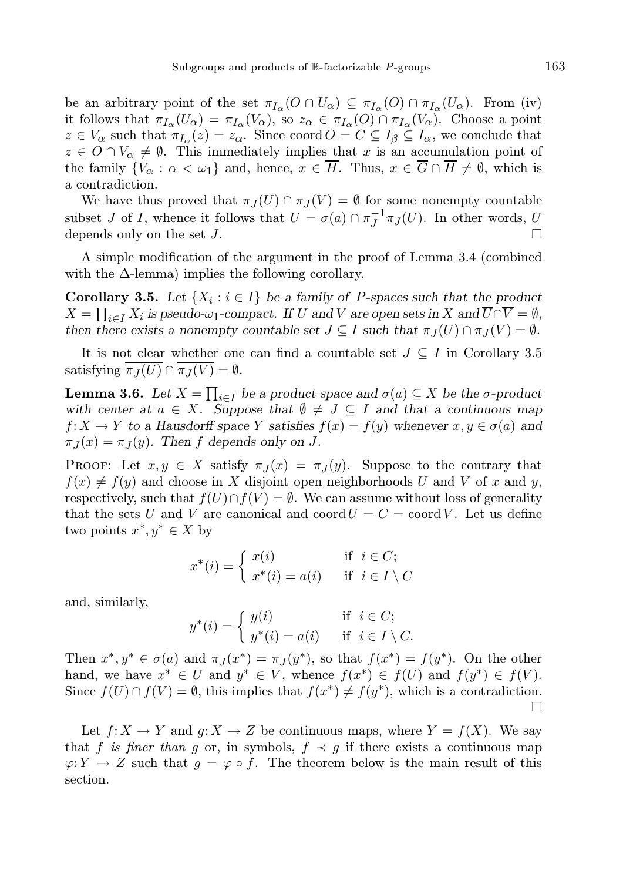be an arbitrary point of the set  $\pi_{I_{\alpha}}(O \cap U_{\alpha}) \subseteq \pi_{I_{\alpha}}(O) \cap \pi_{I_{\alpha}}(U_{\alpha})$ . From (iv) it follows that  $\pi_{I_{\alpha}}(U_{\alpha}) = \pi_{I_{\alpha}}(V_{\alpha})$ , so  $z_{\alpha} \in \pi_{I_{\alpha}}(O) \cap \pi_{I_{\alpha}}(V_{\alpha})$ . Choose a point  $z \in V_{\alpha}$  such that  $\pi_{I_{\alpha}}(z) = z_{\alpha}$ . Since coord  $O = C \subseteq I_{\beta} \subseteq I_{\alpha}$ , we conclude that  $z \in O \cap V_\alpha \neq \emptyset$ . This immediately implies that x is an accumulation point of the family  $\{V_{\alpha} : \alpha < \omega_1\}$  and, hence,  $x \in \overline{H}$ . Thus,  $x \in \overline{G} \cap \overline{H} \neq \emptyset$ , which is a contradiction.

We have thus proved that  $\pi_J(U) \cap \pi_J(V) = \emptyset$  for some nonempty countable subset J of I, whence it follows that  $U = \sigma(a) \cap \pi_J^{-1} \pi_J(U)$ . In other words, U depends only on the set J.

A simple modification of the argument in the proof of Lemma 3.4 (combined with the  $\Delta$ -lemma) implies the following corollary.

**Corollary 3.5.** Let  $\{X_i : i \in I\}$  be a family of *P*-spaces such that the product  $X = \prod_{i \in I} X_i$  is pseudo- $\omega_1$ -compact. If U and V are open sets in X and  $U \cap V = \emptyset$ , then there exists a nonempty countable set  $J \subseteq I$  such that  $\pi_J(U) \cap \pi_J(V) = \emptyset$ .

It is not clear whether one can find a countable set  $J \subseteq I$  in Corollary 3.5 satisfying  $\pi_J(U) \cap \pi_J(V) = \emptyset$ .

**Lemma 3.6.** Let  $X = \prod_{i \in I}$  be a product space and  $\sigma(a) \subseteq X$  be the  $\sigma$ -product with center at  $a \in X$ . Suppose that  $\emptyset \neq J \subseteq I$  and that a continuous map  $f: X \to Y$  to a Hausdorff space Y satisfies  $f(x) = f(y)$  whenever  $x, y \in \sigma(a)$  and  $\pi_J(x) = \pi_J(y)$ . Then f depends only on J.

**PROOF:** Let  $x, y \in X$  satisfy  $\pi_I(x) = \pi_I(y)$ . Suppose to the contrary that  $f(x) \neq f(y)$  and choose in X disjoint open neighborhoods U and V of x and y, respectively, such that  $f(U) \cap f(V) = \emptyset$ . We can assume without loss of generality that the sets U and V are canonical and  $\text{coord } U = C = \text{coord } V$ . Let us define two points  $x^*, y^* \in X$  by

$$
x^*(i) = \begin{cases} x(i) & \text{if } i \in C; \\ x^*(i) = a(i) & \text{if } i \in I \setminus C \end{cases}
$$

and, similarly,

$$
y^*(i) = \begin{cases} y(i) & \text{if } i \in C; \\ y^*(i) = a(i) & \text{if } i \in I \setminus C. \end{cases}
$$

Then  $x^*, y^* \in \sigma(a)$  and  $\pi_J(x^*) = \pi_J(y^*)$ , so that  $f(x^*) = f(y^*)$ . On the other hand, we have  $x^* \in U$  and  $y^* \in V$ , whence  $f(x^*) \in f(U)$  and  $f(y^*) \in f(V)$ . Since  $f(U) \cap f(V) = \emptyset$ , this implies that  $f(x^*) \neq f(y^*)$ , which is a contradiction.  $\Box$ 

Let  $f: X \to Y$  and  $g: X \to Z$  be continuous maps, where  $Y = f(X)$ . We say that f is finer than g or, in symbols,  $f \prec g$  if there exists a continuous map  $\varphi: Y \to Z$  such that  $g = \varphi \circ f$ . The theorem below is the main result of this section.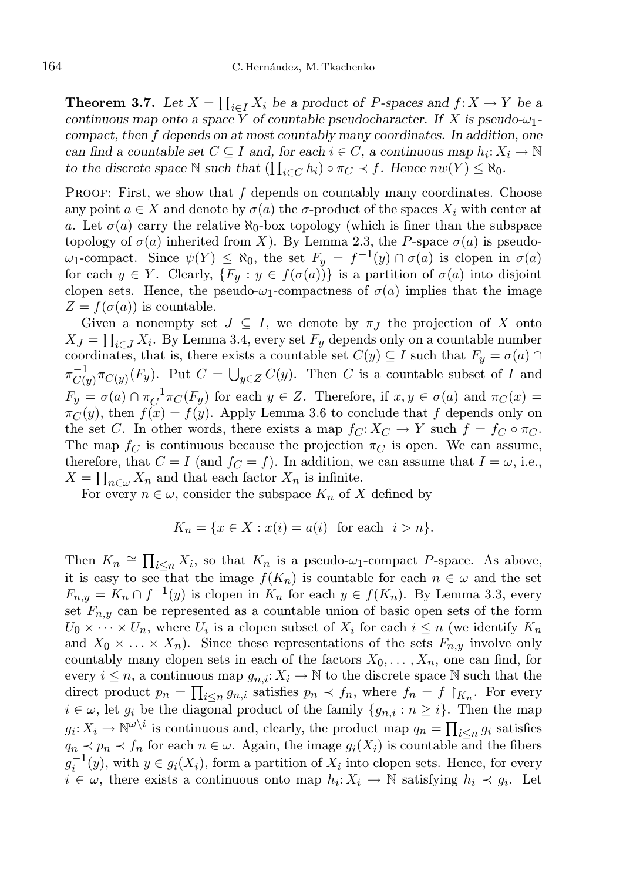**Theorem 3.7.** Let  $X = \prod_{i \in I} X_i$  be a product of *P*-spaces and  $f: X \to Y$  be a continuous map onto a space Y of countable pseudocharacter. If X is pseudo- $\omega_1$ compact, then f depends on at most countably many coordinates. In addition, one can find a countable set  $C \subseteq I$  and, for each  $i \in C$ , a continuous map  $h_i: X_i \to \mathbb{N}$ to the discrete space  $\mathbb N$  such that  $(\prod_{i\in C} h_i) \circ \pi_C \prec f$ . Hence  $nw(Y) \leq \aleph_0$ .

PROOF: First, we show that  $f$  depends on countably many coordinates. Choose any point  $a \in X$  and denote by  $\sigma(a)$  the  $\sigma$ -product of the spaces  $X_i$  with center at a. Let  $\sigma(a)$  carry the relative  $\aleph_0$ -box topology (which is finer than the subspace topology of  $\sigma(a)$  inherited from X). By Lemma 2.3, the P-space  $\sigma(a)$  is pseudo $ω_1$ -compact. Since  $ψ(Y) ≤ χ_0$ , the set  $F_y = f^{-1}(y) ∩ σ(a)$  is clopen in  $σ(a)$ for each  $y \in Y$ . Clearly,  $\{F_y : y \in f(\sigma(a))\}$  is a partition of  $\sigma(a)$  into disjoint clopen sets. Hence, the pseudo- $\omega_1$ -compactness of  $\sigma(a)$  implies that the image  $Z = f(\sigma(a))$  is countable.

Given a nonempty set  $J \subseteq I$ , we denote by  $\pi_J$  the projection of X onto  $X_J = \prod_{i \in J} X_i$ . By Lemma 3.4, every set  $F_y$  depends only on a countable number coordinates, that is, there exists a countable set  $C(y) \subseteq I$  such that  $F_y = \sigma(a) \cap I$  $\pi_{Cl_2}^{-1}$  $C_{C(y)}^{-1} \pi_{C(y)}(F_y)$ . Put  $C = \bigcup_{y \in Z} C(y)$ . Then C is a countable subset of I and  $F_y = \sigma(a) \cap \pi_C^{-1} \pi_C(F_y)$  for each  $y \in Z$ . Therefore, if  $x, y \in \sigma(a)$  and  $\pi_C(x) =$  $\pi_C(y)$ , then  $f(x) = f(y)$ . Apply Lemma 3.6 to conclude that f depends only on the set C. In other words, there exists a map  $f_C: X_C \to Y$  such  $f = f_C \circ \pi_C$ . The map  $f_C$  is continuous because the projection  $\pi_C$  is open. We can assume, therefore, that  $C = I$  (and  $f_C = f$ ). In addition, we can assume that  $I = \omega$ , i.e.,  $X = \prod_{n \in \omega} X_n$  and that each factor  $X_n$  is infinite.

For every  $n \in \omega$ , consider the subspace  $K_n$  of X defined by

$$
K_n = \{ x \in X : x(i) = a(i) \text{ for each } i > n \}.
$$

Then  $K_n \cong \prod_{i \leq n} X_i$ , so that  $K_n$  is a pseudo- $\omega_1$ -compact P-space. As above, it is easy to see that the image  $f(K_n)$  is countable for each  $n \in \omega$  and the set  $F_{n,y} = K_n \cap f^{-1}(y)$  is clopen in  $K_n$  for each  $y \in f(K_n)$ . By Lemma 3.3, every set  $F_{n,y}$  can be represented as a countable union of basic open sets of the form  $U_0 \times \cdots \times U_n$ , where  $U_i$  is a clopen subset of  $X_i$  for each  $i \leq n$  (we identify  $K_n$ and  $X_0 \times \ldots \times X_n$ ). Since these representations of the sets  $F_{n,y}$  involve only countably many clopen sets in each of the factors  $X_0, \ldots, X_n$ , one can find, for every  $i \leq n$ , a continuous map  $g_{n,i}: X_i \to \mathbb{N}$  to the discrete space N such that the direct product  $p_n = \prod_{i \leq n} g_{n,i}$  satisfies  $p_n \prec f_n$ , where  $f_n = f \upharpoonright_{K_n}$ . For every  $i \in \omega$ , let  $g_i$  be the diagonal product of the family  $\{g_{n,i} : n \geq i\}$ . Then the map  $g_i: X_i \to \mathbb{N}^{\omega \setminus i}$  is continuous and, clearly, the product map  $q_n = \prod_{i \leq n} g_i$  satisfies  $q_n \prec p_n \prec f_n$  for each  $n \in \omega$ . Again, the image  $g_i(X_i)$  is countable and the fibers  $g_i^{-1}(y)$ , with  $y \in g_i(X_i)$ , form a partition of  $X_i$  into clopen sets. Hence, for every  $i \in \omega$ , there exists a continuous onto map  $h_i: X_i \to \mathbb{N}$  satisfying  $h_i \prec g_i$ . Let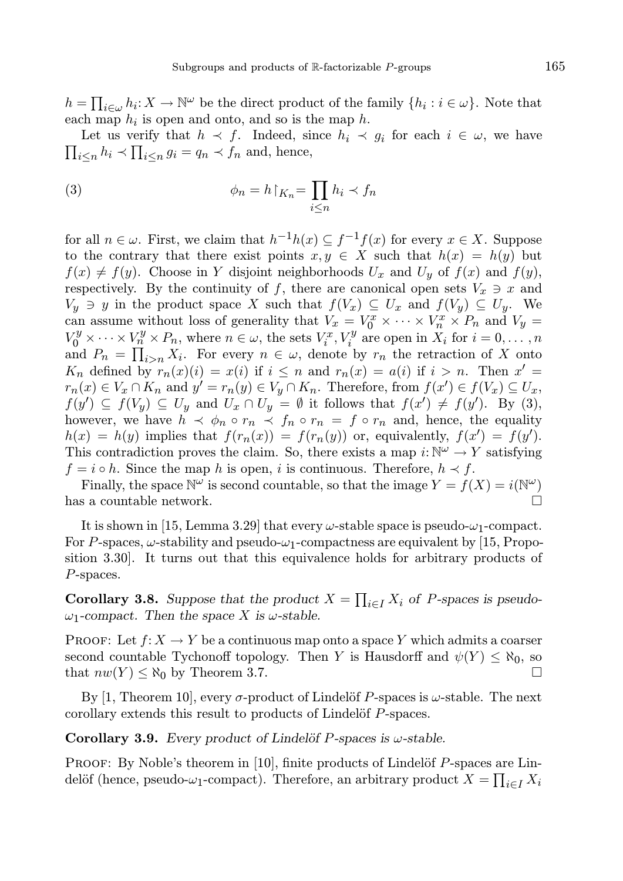$h = \prod_{i \in \omega} h_i : X \to \mathbb{N}^{\omega}$  be the direct product of the family  $\{h_i : i \in \omega\}$ . Note that each map  $h_i$  is open and onto, and so is the map h.

Let us verify that  $h \prec f$ . Indeed, since  $h_i \prec g_i$  for each  $i \in \omega$ , we have  $\prod_{i\leq n} h_i \prec \prod_{i\leq n} g_i = q_n \prec f_n$  and, hence,

(3) 
$$
\phi_n = h \upharpoonright_{K_n} = \prod_{i \leq n} h_i \prec f_n
$$

for all  $n \in \omega$ . First, we claim that  $h^{-1}h(x) \subseteq f^{-1}f(x)$  for every  $x \in X$ . Suppose to the contrary that there exist points  $x, y \in X$  such that  $h(x) = h(y)$  but  $f(x) \neq f(y)$ . Choose in Y disjoint neighborhoods  $U_x$  and  $U_y$  of  $f(x)$  and  $f(y)$ , respectively. By the continuity of f, there are canonical open sets  $V_x \ni x$  and  $V_y \ni y$  in the product space X such that  $f(V_x) \subseteq U_x$  and  $f(V_y) \subseteq U_y$ . We can assume without loss of generality that  $V_x = V_0^x \times \cdots \times V_n^x \times P_n$  and  $V_y =$  $V_0^y \times \cdots \times V_n^y \times P_n$ , where  $n \in \omega$ , the sets  $V_i^x$ ,  $V_i^y$  are open in  $X_i$  for  $i = 0, \ldots, n$ and  $P_n = \prod_{i>n} X_i$ . For every  $n \in \omega$ , denote by  $r_n$  the retraction of X onto  $K_n$  defined by  $r_n(x)(i) = x(i)$  if  $i \leq n$  and  $r_n(x) = a(i)$  if  $i > n$ . Then  $x' =$  $r_n(x) \in V_x \cap K_n$  and  $y' = r_n(y) \in V_y \cap K_n$ . Therefore, from  $f(x') \in f(V_x) \subseteq U_x$ ,  $f(y') \subseteq f(V_y) \subseteq U_y$  and  $U_x \cap U_y = \emptyset$  it follows that  $f(x') \neq f(y')$ . By (3), however, we have  $h \prec \phi_n \circ r_n \prec f_n \circ r_n = f \circ r_n$  and, hence, the equality  $h(x) = h(y)$  implies that  $f(r_n(x)) = f(r_n(y))$  or, equivalently,  $f(x') = f(y')$ . This contradiction proves the claim. So, there exists a map  $i: \mathbb{N}^{\omega} \to Y$  satisfying  $f = i \circ h$ . Since the map h is open, i is continuous. Therefore,  $h \prec f$ .

Finally, the space  $\mathbb{N}^{\omega}$  is second countable, so that the image  $Y = f(X) = i(\mathbb{N}^{\omega})$ has a countable network.  $\hfill \square$ 

It is shown in [15, Lemma 3.29] that every  $\omega$ -stable space is pseudo- $\omega_1$ -compact. For P-spaces,  $\omega$ -stability and pseudo- $\omega_1$ -compactness are equivalent by [15, Proposition 3.30]. It turns out that this equivalence holds for arbitrary products of P-spaces.

**Corollary 3.8.** Suppose that the product  $X = \prod_{i \in I} X_i$  of *P*-spaces is pseudo- $\omega_1$ -compact. Then the space X is  $\omega$ -stable.

PROOF: Let  $f: X \to Y$  be a continuous map onto a space Y which admits a coarser second countable Tychonoff topology. Then Y is Hausdorff and  $\psi(Y) \leq \aleph_0$ , so that  $nw(Y) \leq \aleph_0$  by Theorem 3.7.

By [1, Theorem 10], every  $\sigma$ -product of Lindelöf P-spaces is  $\omega$ -stable. The next corollary extends this result to products of Lindelöf P-spaces.

Corollary 3.9. Every product of Lindelöf P-spaces is  $\omega$ -stable.

PROOF: By Noble's theorem in  $[10]$ , finite products of Lindelöf P-spaces are Lindelöf (hence, pseudo- $\omega_1$ -compact). Therefore, an arbitrary product  $X = \prod_{i \in I} X_i$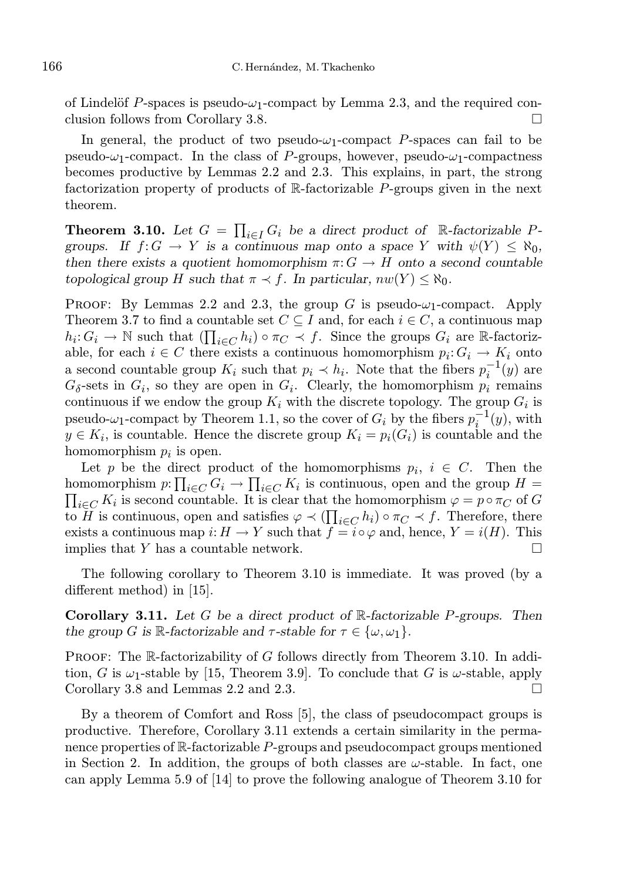of Lindelöf P-spaces is pseudo- $\omega_1$ -compact by Lemma 2.3, and the required conclusion follows from Corollary 3.8.

In general, the product of two pseudo- $\omega_1$ -compact P-spaces can fail to be pseudo- $\omega_1$ -compact. In the class of P-groups, however, pseudo- $\omega_1$ -compactness becomes productive by Lemmas 2.2 and 2.3. This explains, in part, the strong factorization property of products of R-factorizable P-groups given in the next theorem.

**Theorem 3.10.** Let  $G = \prod_{i \in I} G_i$  be a direct product of R-factorizable Pgroups. If  $f: G \to Y$  is a continuous map onto a space Y with  $\psi(Y) \leq \aleph_0$ , then there exists a quotient homomorphism  $\pi: G \to H$  onto a second countable topological group H such that  $\pi \prec f$ . In particular,  $nw(Y) \leq \aleph_0$ .

PROOF: By Lemmas 2.2 and 2.3, the group G is pseudo- $\omega_1$ -compact. Apply Theorem 3.7 to find a countable set  $C \subseteq I$  and, for each  $i \in C$ , a continuous map  $h_i: G_i \to \mathbb{N}$  such that  $(\prod_{i \in C} h_i) \circ \pi_C \prec f$ . Since the groups  $G_i$  are R-factorizable, for each  $i \in C$  there exists a continuous homomorphism  $p_i: G_i \to K_i$  onto a second countable group  $K_i$  such that  $p_i \prec h_i$ . Note that the fibers  $p_i^{-1}(y)$  are  $G_{\delta}$ -sets in  $G_i$ , so they are open in  $G_i$ . Clearly, the homomorphism  $p_i$  remains continuous if we endow the group  $K_i$  with the discrete topology. The group  $G_i$  is pseudo- $\omega_1$ -compact by Theorem 1.1, so the cover of  $G_i$  by the fibers  $p_i^{-1}(y)$ , with  $y \in K_i$ , is countable. Hence the discrete group  $K_i = p_i(G_i)$  is countable and the homomorphism  $p_i$  is open.

Let p be the direct product of the homomorphisms  $p_i, i \in C$ . Then the homomorphism  $p: \prod_{i \in C} G_i \to \prod_{i \in C} K_i$  is continuous, open and the group  $H =$  $\prod_{i\in C} K_i$  is second countable. It is clear that the homomorphism  $\varphi = p \circ \pi_C$  of G to H is continuous, open and satisfies  $\varphi \prec (\prod_{i \in C} h_i) \circ \pi_C \prec f$ . Therefore, there exists a continuous map  $i: H \to Y$  such that  $f = i \circ \varphi$  and, hence,  $Y = i(H)$ . This implies that Y has a countable network.  $\square$ 

The following corollary to Theorem 3.10 is immediate. It was proved (by a different method) in [15].

**Corollary 3.11.** Let G be a direct product of  $\mathbb{R}$ -factorizable P-groups. Then the group G is R-factorizable and  $\tau$ -stable for  $\tau \in {\omega, \omega_1}$ .

**PROOF:** The  $\mathbb{R}$ -factorizability of G follows directly from Theorem 3.10. In addition, G is  $\omega_1$ -stable by [15, Theorem 3.9]. To conclude that G is  $\omega$ -stable, apply Corollary 3.8 and Lemmas 2.2 and 2.3. □

By a theorem of Comfort and Ross [5], the class of pseudocompact groups is productive. Therefore, Corollary 3.11 extends a certain similarity in the permanence properties of R-factorizable P-groups and pseudocompact groups mentioned in Section 2. In addition, the groups of both classes are  $\omega$ -stable. In fact, one can apply Lemma 5.9 of [14] to prove the following analogue of Theorem 3.10 for